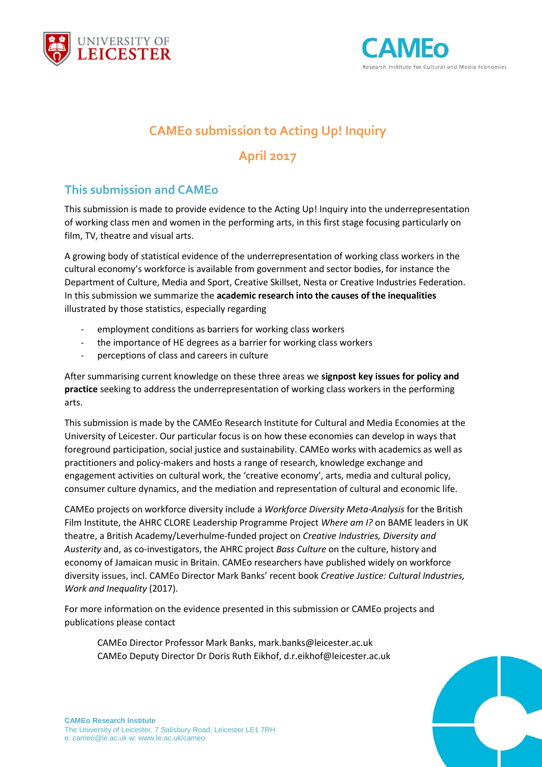



# **CAMEo submission to Acting Up! Inquiry**

## **April 2017**

### **This submission and CAMEo**

This submission is made to provide evidence to the Acting Up! Inquiry into the underrepresentation of working class men and women in the performing arts, in this first stage focusing particularly on film, TV, theatre and visual arts.

A growing body of statistical evidence of the underrepresentation of working class workers in the cultural economy's workforce is available from government and sector bodies, for instance the Department of Culture, Media and Sport, Creative Skillset, Nesta or Creative Industries Federation. In this submission we summarize the **academic research into the causes of the inequalities** illustrated by those statistics, especially regarding

- employment conditions as barriers for working class workers
- the importance of HE degrees as a barrier for working class workers
- perceptions of class and careers in culture

After summarising current knowledge on these three areas we **signpost key issues for policy and practice** seeking to address the underrepresentation of working class workers in the performing arts.

This submission is made by the CAMEo Research Institute for Cultural and Media Economies at the University of Leicester. Our particular focus is on how these economies can develop in ways that foreground participation, social justice and sustainability. CAMEo works with academics as well as practitioners and policy-makers and hosts a range of research, knowledge exchange and engagement activities on cultural work, the 'creative economy', arts, media and cultural policy, consumer culture dynamics, and the mediation and representation of cultural and economic life.

CAMEo projects on workforce diversity include a *Workforce Diversity Meta-Analysis* for the British Film Institute, the AHRC CLORE Leadership Programme Project *Where am I?* on BAME leaders in UK theatre, a British Academy/Leverhulme-funded project on *Creative Industries, Diversity and Austerity* and, as co-investigators, the AHRC project *Bass Culture* on the culture, history and economy of Jamaican music in Britain. CAMEo researchers have published widely on workforce diversity issues, incl. CAMEo Director Mark Banks' recent book *Creative Justice: Cultural Industries, Work and Inequality* (2017).

For more information on the evidence presented in this submission or CAMEo projects and publications please contact

CAMEo Director Professor Mark Banks, mark.banks@leicester.ac.uk CAMEo Deputy Director Dr Doris Ruth Eikhof, d.r.eikhof@leicester.ac.uk

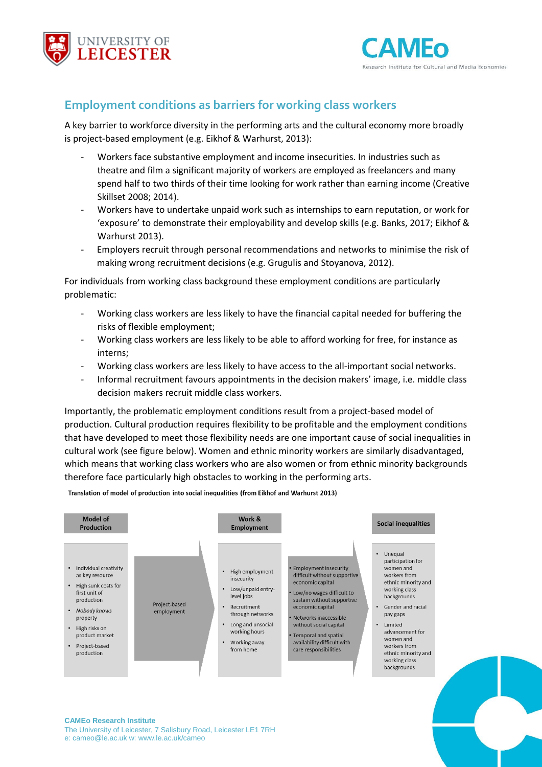



### **Employment conditions as barriers for working class workers**

A key barrier to workforce diversity in the performing arts and the cultural economy more broadly is project-based employment (e.g. Eikhof & Warhurst, 2013):

- Workers face substantive employment and income insecurities. In industries such as theatre and film a significant majority of workers are employed as freelancers and many spend half to two thirds of their time looking for work rather than earning income (Creative Skillset 2008; 2014).
- Workers have to undertake unpaid work such as internships to earn reputation, or work for 'exposure' to demonstrate their employability and develop skills (e.g. Banks, 2017; Eikhof & Warhurst 2013).
- Employers recruit through personal recommendations and networks to minimise the risk of making wrong recruitment decisions (e.g. Grugulis and Stoyanova, 2012).

For individuals from working class background these employment conditions are particularly problematic:

- Working class workers are less likely to have the financial capital needed for buffering the risks of flexible employment;
- Working class workers are less likely to be able to afford working for free, for instance as interns;
- Working class workers are less likely to have access to the all-important social networks.
- Informal recruitment favours appointments in the decision makers' image, i.e. middle class decision makers recruit middle class workers.

Importantly, the problematic employment conditions result from a project-based model of production. Cultural production requires flexibility to be profitable and the employment conditions that have developed to meet those flexibility needs are one important cause of social inequalities in cultural work (see figure below). Women and ethnic minority workers are similarly disadvantaged, which means that working class workers who are also women or from ethnic minority backgrounds therefore face particularly high obstacles to working in the performing arts.

Translation of model of production into social inequalities (from Eikhof and Warhurst 2013)



#### **CAMEo Research Institute**

The University of Leicester, 7 Salisbury Road, Leicester LE1 7RH e: cameo@le.ac.uk w: www.le.ac.uk/cameo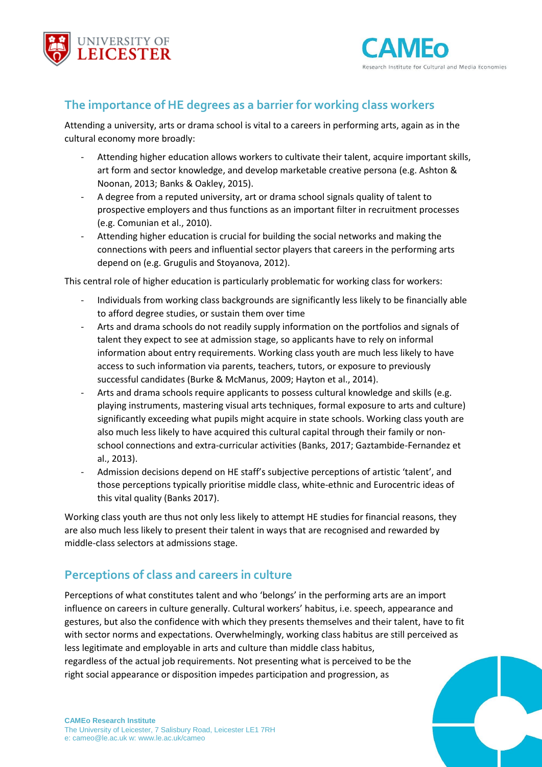



### **The importance of HE degrees as a barrier for working class workers**

Attending a university, arts or drama school is vital to a careers in performing arts, again as in the cultural economy more broadly:

- Attending higher education allows workers to cultivate their talent, acquire important skills, art form and sector knowledge, and develop marketable creative persona (e.g. Ashton & Noonan, 2013; Banks & Oakley, 2015).
- A degree from a reputed university, art or drama school signals quality of talent to prospective employers and thus functions as an important filter in recruitment processes (e.g. Comunian et al., 2010).
- Attending higher education is crucial for building the social networks and making the connections with peers and influential sector players that careers in the performing arts depend on (e.g. Grugulis and Stoyanova, 2012).

This central role of higher education is particularly problematic for working class for workers:

- Individuals from working class backgrounds are significantly less likely to be financially able to afford degree studies, or sustain them over time
- Arts and drama schools do not readily supply information on the portfolios and signals of talent they expect to see at admission stage, so applicants have to rely on informal information about entry requirements. Working class youth are much less likely to have access to such information via parents, teachers, tutors, or exposure to previously successful candidates (Burke & McManus, 2009; Hayton et al., 2014).
- Arts and drama schools require applicants to possess cultural knowledge and skills (e.g. playing instruments, mastering visual arts techniques, formal exposure to arts and culture) significantly exceeding what pupils might acquire in state schools. Working class youth are also much less likely to have acquired this cultural capital through their family or nonschool connections and extra-curricular activities (Banks, 2017; Gaztambide-Fernandez et al., 2013).
- Admission decisions depend on HE staff's subjective perceptions of artistic 'talent', and those perceptions typically prioritise middle class, white-ethnic and Eurocentric ideas of this vital quality (Banks 2017).

Working class youth are thus not only less likely to attempt HE studies for financial reasons, they are also much less likely to present their talent in ways that are recognised and rewarded by middle-class selectors at admissions stage.

### **Perceptions of class and careers in culture**

Perceptions of what constitutes talent and who 'belongs' in the performing arts are an import influence on careers in culture generally. Cultural workers' habitus, i.e. speech, appearance and gestures, but also the confidence with which they presents themselves and their talent, have to fit with sector norms and expectations. Overwhelmingly, working class habitus are still perceived as less legitimate and employable in arts and culture than middle class habitus, regardless of the actual job requirements. Not presenting what is perceived to be the right social appearance or disposition impedes participation and progression, as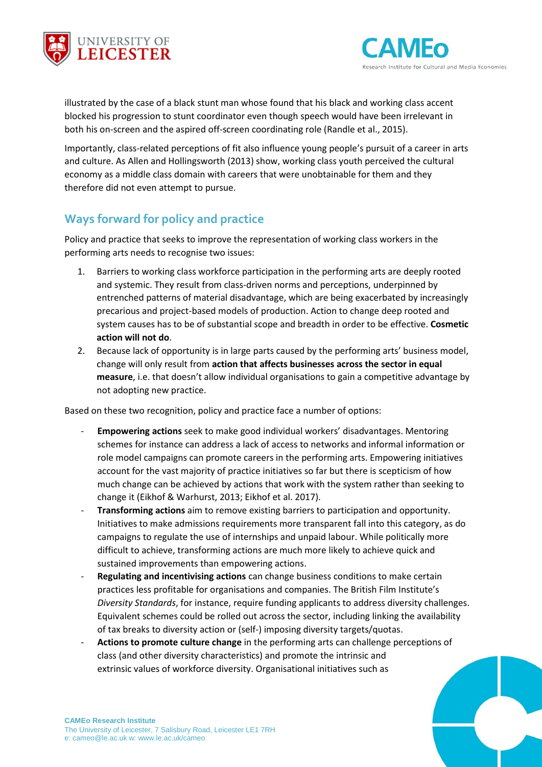



illustrated by the case of a black stunt man whose found that his black and working class accent blocked his progression to stunt coordinator even though speech would have been irrelevant in both his on-screen and the aspired off-screen coordinating role (Randle et al., 2015).

Importantly, class-related perceptions of fit also influence young people's pursuit of a career in arts and culture. As Allen and Hollingsworth (2013) show, working class youth perceived the cultural economy as a middle class domain with careers that were unobtainable for them and they therefore did not even attempt to pursue.

### **Ways forward for policy and practice**

Policy and practice that seeks to improve the representation of working class workers in the performing arts needs to recognise two issues:

- 1. Barriers to working class workforce participation in the performing arts are deeply rooted and systemic. They result from class-driven norms and perceptions, underpinned by entrenched patterns of material disadvantage, which are being exacerbated by increasingly precarious and project-based models of production. Action to change deep rooted and system causes has to be of substantial scope and breadth in order to be effective. **Cosmetic action will not do**.
- 2. Because lack of opportunity is in large parts caused by the performing arts' business model, change will only result from **action that affects businesses across the sector in equal measure**, i.e. that doesn't allow individual organisations to gain a competitive advantage by not adopting new practice.

Based on these two recognition, policy and practice face a number of options:

- **Empowering actions** seek to make good individual workers' disadvantages. Mentoring schemes for instance can address a lack of access to networks and informal information or role model campaigns can promote careers in the performing arts. Empowering initiatives account for the vast majority of practice initiatives so far but there is scepticism of how much change can be achieved by actions that work with the system rather than seeking to change it (Eikhof & Warhurst, 2013; Eikhof et al. 2017).
- **Transforming actions** aim to remove existing barriers to participation and opportunity. Initiatives to make admissions requirements more transparent fall into this category, as do campaigns to regulate the use of internships and unpaid labour. While politically more difficult to achieve, transforming actions are much more likely to achieve quick and sustained improvements than empowering actions.
- Regulating and incentivising actions can change business conditions to make certain practices less profitable for organisations and companies. The British Film Institute's *Diversity Standards*, for instance, require funding applicants to address diversity challenges. Equivalent schemes could be rolled out across the sector, including linking the availability of tax breaks to diversity action or (self-) imposing diversity targets/quotas.
- Actions to promote culture change in the performing arts can challenge perceptions of class (and other diversity characteristics) and promote the intrinsic and extrinsic values of workforce diversity. Organisational initiatives such as